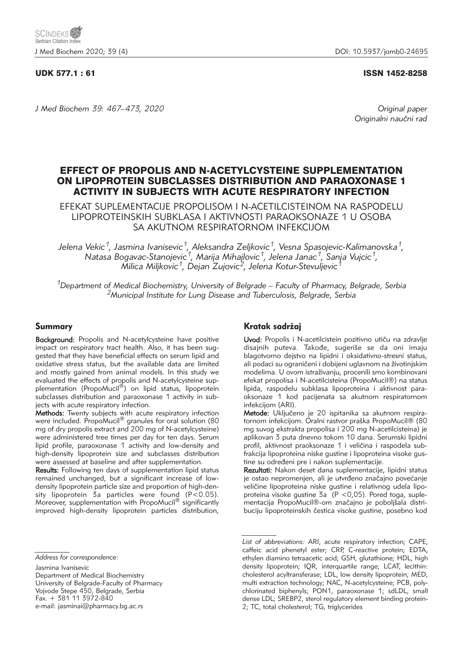# UDK 577.1 : 61 ISSN 1452-8258

*J Med Biochem 39: 467–473, 2020 Original paper*

Originalni naučni rad

# EFFECT OF PROPOLIS AND N-ACETYLCYSTEINE SUPPLEMENTATION ON LIPOPROTEIN SUBCLASSES DISTRIBUTION AND PARAOXONASE 1 ACTIVITY IN SUBJECTS WITH ACUTE RESPIRATORY INFECTION

EFEKAT SUPLEMENTACIJE PROPOLISOM I N-ACETILCISTEINOM NA RASPODELU LIPOPROTEINSKIH SUBKLASA I AKTIVNOSTI PARAOKSONAZE 1 U OSOBA SA AKUTNOM RESPIRATORNOM INFEKCIJOM

*Jelena Vekic1, Jasmina Ivanisevic1, Aleksandra Zeljkovic1, Vesna Spasojevic-Kalimanovska1, Natasa Bogavac-Stanojevic1, Marija Mihajlovic1, Jelena Janac1, Sanja Vujcic1, Milica Miljkovic1, Dejan Zujovic2, Jelena Kotur-Stevuljevic1*

*1Department of Medical Biochemistry, University of Belgrade – Faculty of Pharmacy, Belgrade, Serbia 2Municipal Institute for Lung Disease and Tuberculosis, Belgrade, Serbia*

#### Summary

Background: Propolis and N-acetylcysteine have positive impact on respiratory tract health. Also, it has been suggested that they have beneficial effects on serum lipid and oxidative stress status, but the available data are limited and mostly gained from animal models. In this study we evaluated the effects of propolis and N-acetylcysteine supplementation (PropoMucil®) on lipid status, lipoprotein subclasses distribution and paraoxonase 1 activity in subjects with acute respiratory infection.

Methods: Twenty subjects with acute respiratory infection were included. PropoMucil® granules for oral solution (80 mg of dry propolis extract and 200 mg of N-acetylcysteine) were administered tree times per day for ten days. Serum lipid profile, paraoxonase 1 activity and low-density and high-density lipoprotein size and subclasses distribution were assessed at baseline and after supplementation.

Results: Following ten days of supplementation lipid status remained unchanged, but a significant increase of lowdensity lipoprotein particle size and proportion of high-density lipoprotein 3a particles were found (P<0.05). Moreover, supplementation with PropoMucil<sup>®</sup> significantly improved high-density lipoprotein particles distribution,

Jasmina Ivanisevic

Department of Medical Biochemistry University of Belgrade-Faculty of Pharmacy Vojvode Stepe 450, Belgrade, Serbia Fax. + 381 11 3972-840 e-mail: jasminai@pharmacy.bg.ac.rs

# Kratak sadržaj

Uvod: Propolis i N-acetilcistein pozitivno utiču na zdravlje disajnih puteva. Takođe, sugeriše se da oni imaju blagotvorno dejstvo na lipidni i oksidativno-stresni status, ali podaci su ograničeni i dobijeni uglavnom na životinjskim modelima. U ovom istraživanju, procenili smo kombinovani efekat propolisa i N-acetilcisteina (PropoMucil®) na status lipida, raspodelu subklasa lipoproteina i aktivnost paraoksonaze 1 kod pacijenata sa akutnom respiratornom infekcijom (ARI).

Metode: Uključeno je 20 ispitanika sa akutnom respiratornom infekcijom. Oralni rastvor praška PropoMucil® (80 mg suvog ekstrakta propolisa i 200 mg N-acetilcisteina) je aplikovan 3 puta dnevno tokom 10 dana. Serumski lipidni profil, aktivnost praoksonaze 1 i veličina i raspodela subfrakcija lipoproteina niske gustine i lipoproteina visoke gustine su određeni pre i nakon suplementacije.

Rezultati: Nakon deset dana suplementacije, lipidni status je ostao nepromenjen, ali je utvrđeno značajno povećanje veličine lipoproteina niske gustine i relativnog udela lipoproteina visoke gustine 3a (P <0,05). Pored toga, suplementacija PropoMucil®-om značajno je poboljšala distribuciju lipoproteinskih čestica visoke gustine, posebno kod

*Address for correspondence:*

*List of abbreviations:* ARI, acute respiratory infection; CAPE, caffeic acid phenetyl ester; CRP, C-reactive protein; EDTA, ethylen diamino tetraacetic acid; GSH, glutathione; HDL, high density lipoprotein; IQR, interquartile range; LCAT, lecithin: cholesterol acyltransferase; LDL, low density lipoprotein; MED, multi extraction technology; NAC, N-acetylcysteine; PCB, polychlorinated biphenyls; PON1, paraoxonase 1; sdLDL, small dense LDL; SREBP2, sterol regulatory element binding protein-2; TC, total cholesterol; TG, triglycerides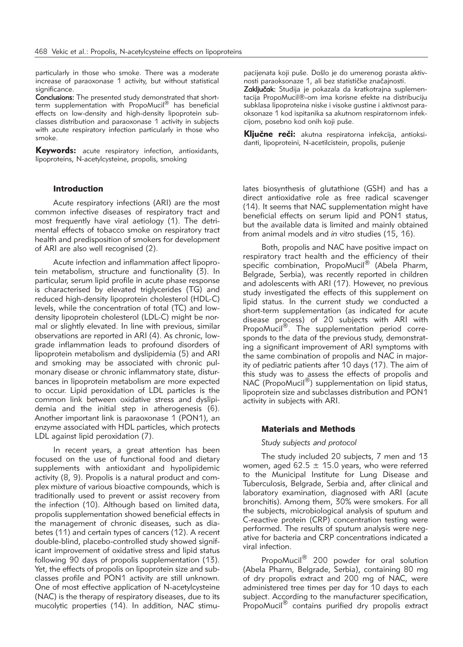particularly in those who smoke. There was a moderate increase of paraoxonase 1 activity, but without statistical significance.

Conclusions: The presented study demonstrated that shortterm supplementation with PropoMucil<sup>®</sup> has beneficial effects on low-density and high-density lipoprotein subclasses distribution and paraoxonase 1 activity in subjects with acute respiratory infection particularly in those who smoke.

**Keywords:** acute respiratory infection, antioxidants, lipoproteins, N-acetylcysteine, propolis, smoking

# Introduction

Acute respiratory infections (ARI) are the most common infective diseases of respiratory tract and most frequently have viral aetiology (1). The detrimental effects of tobacco smoke on respiratory tract health and predisposition of smokers for development of ARI are also well recognised (2).

Acute infection and inflammation affect lipoprotein metabolism, structure and functionality (3). In particular, serum lipid profile in acute phase response is characterised by elevated triglycerides (TG) and reduced high-density lipoprotein cholesterol (HDL-C) levels, while the concentration of total (TC) and lowdensity lipoprotein cholesterol (LDL-C) might be normal or slightly elevated. In line with previous, similar observations are reported in ARI (4). As chronic, lowgrade inflammation leads to profound disorders of lipoprotein metabolism and dyslipidemia (5) and ARI and smoking may be associated with chronic pulmonary disease or chronic inflammatory state, disturbances in lipoprotein metabolism are more expected to occur. Lipid peroxidation of LDL particles is the common link between oxidative stress and dyslipidemia and the initial step in atherogenesis (6). Another important link is paraoxonase 1 (PON1), an enzyme associated with HDL particles, which protects LDL against lipid peroxidation (7).

In recent years, a great attention has been focused on the use of functional food and dietary supplements with antioxidant and hypolipidemic activity (8, 9). Propolis is a natural product and complex mixture of various bioactive compounds, which is traditionally used to prevent or assist recovery from the infection (10). Although based on limited data, propolis supplementation showed beneficial effects in the management of chronic diseases, such as diabetes (11) and certain types of cancers (12). A recent double-blind, placebo-controlled study showed significant improvement of oxidative stress and lipid status following 90 days of propolis supplementation (13). Yet, the effects of propolis on lipoprotein size and subclasses profile and PON1 activity are still unknown. One of most effective application of N-acetylcysteine (NAC) is the therapy of respiratory diseases, due to its mucolytic properties (14). In addition, NAC stimupacijenata koji puše. Došlo je do umerenog porasta aktivnosti paraoksonaze 1, ali bez statističke značajnosti.

Zaključak: Studija je pokazala da kratkotrajna suplementacija PropoMucil®-om ima korisne efekte na distribuciju subklasa lipoproteina niske i visoke gustine i aktivnost paraoksonaze 1 kod ispitanika sa akutnom respiratornom infekcijom, posebno kod onih koji puše.

Ključne reči: akutna respiratorna infekcija, antioksidanti, lipoproteini, N-acetilcistein, propolis, pušenje

lates biosynthesis of glutathione (GSH) and has a direct antioxidative role as free radical scavenger (14). It seems that NAC supplementation might have beneficial effects on serum lipid and PON1 status, but the available data is limited and mainly obtained from animal models and *in vitro* studies (15, 16).

Both, propolis and NAC have positive impact on respiratory tract health and the efficiency of their specific combination, PropoMucil<sup>®</sup> (Abela Pharm, Belgrade, Serbia), was recently reported in children and adolescents with ARI (17). However, no previous study investigated the effects of this supplement on lipid status. In the current study we conducted a short-term supplementation (as indicated for acute disease process) of 20 subjects with ARI with PropoMucil<sup>®</sup>. The supplementation period corresponds to the data of the previous study, demonstrating a significant improvement of ARI symptoms with the same combination of propolis and NAC in majority of pediatric patients after 10 days (17). The aim of this study was to assess the effects of propolis and NAC (PropoMucil®) supplementation on lipid status, lipoprotein size and subclasses distribution and PON1 activity in subjects with ARI.

#### Materials and Methods

#### *Study subjects and protocol*

The study included 20 subjects, 7 men and 13 women, aged 62.5  $\pm$  15.0 years, who were referred to the Municipal Institute for Lung Disease and Tuberculosis, Belgrade, Serbia and, after clinical and laboratory examination, diagnosed with ARI (acute bronchitis). Among them, 30% were smokers. For all the subjects, microbiological analysis of sputum and C-reactive protein (CRP) concentration testing were performed. The results of sputum analysis were negative for bacteria and CRP concentrations indicated a viral infection.

PropoMucil<sup>®</sup> 200 powder for oral solution (Abela Pharm, Belgrade, Serbia), containing 80 mg of dry propolis extract and 200 mg of NAC, were administered tree times per day for 10 days to each subject. According to the manufacturer specification, PropoMucil® contains purified dry propolis extract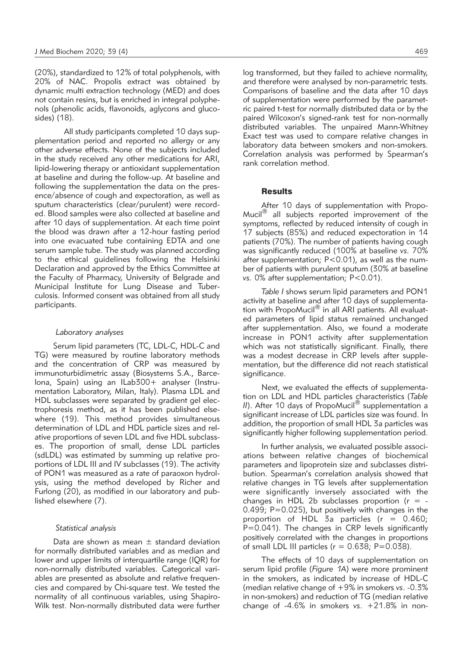(20%), standardized to 12% of total polyphenols, with 20% of NAC. Propolis extract was obtained by dynamic multi extraction technology (MED) and does not contain resins, but is enriched in integral polyphenols (phenolic acids, flavonoids, aglycons and glucosides) (18).

All study participants completed 10 days supplementation period and reported no allergy or any other adverse effects. None of the subjects included in the study received any other medications for ARI, lipid-lowering therapy or antioxidant supplementation at baseline and during the follow-up. At baseline and following the supplementation the data on the presence/absence of cough and expectoration, as well as sputum characteristics (clear/purulent) were recorded. Blood samples were also collected at baseline and after 10 days of supplementation. At each time point the blood was drawn after a 12-hour fasting period into one evacuated tube containing EDTA and one serum sample tube. The study was planned according to the ethical guidelines following the Helsinki Declaration and approved by the Ethics Committee at the Faculty of Pharmacy, University of Belgrade and Municipal Institute for Lung Disease and Tuberculosis. Informed consent was obtained from all study participants.

## *Laboratory analyses*

Serum lipid parameters (TC, LDL-C, HDL-C and TG) were measured by routine laboratory methods and the concentration of CRP was measured by immunoturbidimetric assay (Biosystems S.A., Barcelona, Spain) using an ILab300+ analyser (Instrumentation Laboratory, Milan, Italy). Plasma LDL and HDL subclasses were separated by gradient gel electrophoresis method, as it has been published elsewhere (19). This method provides simultaneous determination of LDL and HDL particle sizes and relative proportions of seven LDL and five HDL subclasses. The proportion of small, dense LDL particles (sdLDL) was estimated by summing up relative proportions of LDL III and IV subclasses (19). The activity of PON1 was measured as a rate of paraoxon hydrolysis, using the method developed by Richer and Furlong (20), as modified in our laboratory and published elsewhere (7).

#### *Statistical analysis*

Data are shown as mean  $\pm$  standard deviation for normally distributed variables and as median and lower and upper limits of interquartile range (IQR) for non-normally distributed variables. Categorical variables are presented as absolute and relative frequencies and compared by Chi-square test. We tested the normality of all continuous variables, using Shapiro-Wilk test. Non-normally distributed data were further log transformed, but they failed to achieve normality, and therefore were analysed by non-parametric tests. Comparisons of baseline and the data after 10 days of supplementation were performed by the parametric paired t-test for normally distributed data or by the paired Wilcoxon's signed-rank test for non-normally distributed variables. The unpaired Mann-Whitney Exact test was used to compare relative changes in laboratory data between smokers and non-smokers. Correlation analysis was performed by Spearman's rank correlation method.

# **Results**

After 10 days of supplementation with Propo-Mucil $<sup>®</sup>$  all subjects reported improvement of the</sup> symptoms, reflected by reduced intensity of cough in 17 subjects (85%) and reduced expectoration in 14 patients (70%). The number of patients having cough was significantly reduced (100% at baseline *vs.* 70% after supplementation; P<0.01), as well as the number of patients with purulent sputum (30% at baseline *vs.* 0% after supplementation; P<0.01).

*Table I* shows serum lipid parameters and PON1 activity at baseline and after 10 days of supplementation with PropoMucil® in all ARI patients. All evaluated parameters of lipid status remained unchanged after supplementation. Also, we found a moderate increase in PON1 activity after supplementation which was not statistically significant. Finally, there was a modest decrease in CRP levels after supplementation, but the difference did not reach statistical significance.

Next, we evaluated the effects of supplementation on LDL and HDL particles characteristics (*Table II*). After 10 days of PropoMucil® supplementation a significant increase of LDL particles size was found. In addition, the proportion of small HDL 3a particles was significantly higher following supplementation period.

In further analysis, we evaluated possible associations between relative changes of biochemical parameters and lipoprotein size and subclasses distribution. Spearman's correlation analysis showed that relative changes in TG levels after supplementation were significantly inversely associated with the changes in HDL 2b subclasses proportion ( $r = -$ 0.499; P=0.025), but positively with changes in the proportion of HDL 3a particles ( $r = 0.460$ ; P=0.041). The changes in CRP levels significantly positively correlated with the changes in proportions of small LDL III particles ( $r = 0.638$ ; P=0.038).

The effects of 10 days of supplementation on serum lipid profile (*Figure 1A*) were more prominent in the smokers, as indicated by increase of HDL-C (median relative change of +9% in smokers *vs*. -0.3% in non-smokers) and reduction of TG (median relative change of -4.6% in smokers *vs*. +21.8% in non-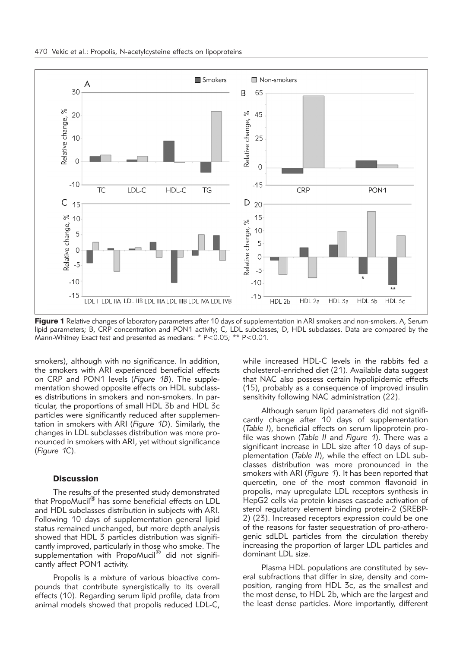

Figure 1 Relative changes of laboratory parameters after 10 days of supplementation in ARI smokers and non-smokers. A, Serum lipid parameters; B, CRP concentration and PON1 activity; C, LDL subclasses; D, HDL subclasses. Data are compared by the Mann-Whitney Exact test and presented as medians: \* P<0.05; \*\* P<0.01.

smokers), although with no significance. In addition, the smokers with ARI experienced beneficial effects on CRP and PON1 levels (*Figure 1B*). The supplementation showed opposite effects on HDL subclasses distributions in smokers and non-smokers. In particular, the proportions of small HDL 3b and HDL 3c particles were significantly reduced after supplementation in smokers with ARI (*Figure 1D*). Similarly, the changes in LDL subclasses distribution was more pronounced in smokers with ARI, yet without significance (*Figure 1C*).

#### **Discussion**

The results of the presented study demonstrated that PropoMucil® has some beneficial effects on LDL and HDL subclasses distribution in subjects with ARI. Following 10 days of supplementation general lipid status remained unchanged, but more depth analysis showed that HDL 3 particles distribution was significantly improved, particularly in those who smoke. The supplementation with PropoMucil<sup>®</sup> did not significantly affect PON1 activity.

Propolis is a mixture of various bioactive compounds that contribute synergistically to its overall effects (10). Regarding serum lipid profile, data from animal models showed that propolis reduced LDL-C,

while increased HDL-C levels in the rabbits fed a cholesterol-enriched diet (21). Available data suggest that NAC also possess certain hypolipidemic effects (15), probably as a consequence of improved insulin sensitivity following NAC administration (22).

Although serum lipid parameters did not significantly change after 10 days of supplementation (*Table I*), beneficial effects on serum lipoprotein profile was shown (*Table II* and *Figure 1*). There was a significant increase in LDL size after 10 days of supplementation (*Table II*), while the effect on LDL subclasses distribution was more pronounced in the smokers with ARI (*Figure 1*). It has been reported that quercetin, one of the most common flavonoid in propolis, may upregulate LDL receptors synthesis in HepG2 cells via protein kinases cascade activation of sterol regulatory element binding protein-2 (SREBP-2) (23). Increased receptors expression could be one of the reasons for faster sequestration of pro-atherogenic sdLDL particles from the circulation thereby increasing the proportion of larger LDL particles and dominant LDL size.

Plasma HDL populations are constituted by several subfractions that differ in size, density and composition, ranging from HDL 3c, as the smallest and the most dense, to HDL 2b, which are the largest and the least dense particles. More importantly, different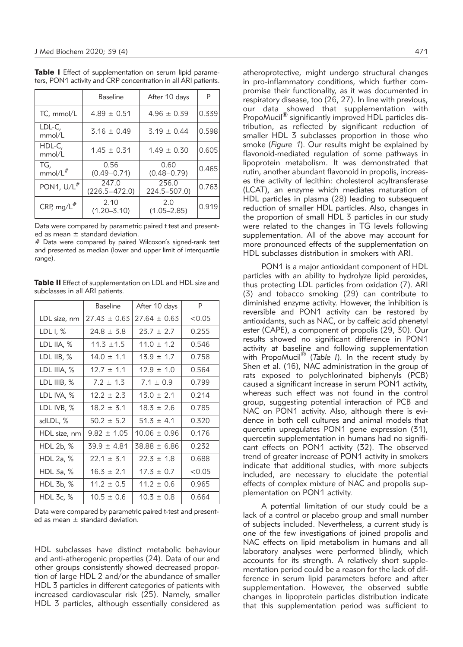|                            | <b>Baseline</b>            | After 10 days           | P     |
|----------------------------|----------------------------|-------------------------|-------|
| TC, mmol/L                 | $4.89 \pm 0.51$            | $4.96 \pm 0.39$         | 0.339 |
| LDL-C,<br>mmol/L           | $3.16 \pm 0.49$            | $3.19 \pm 0.44$         | 0.598 |
| HDL-C.<br>mmol/L           | $1.45 \pm 0.31$            | $1.49 \pm 0.30$         | 0.605 |
| TG,<br>mmol/L <sup>#</sup> | 0.56<br>$(0.49 - 0.71)$    | 0.60<br>$(0.48 - 0.79)$ | 0.465 |
| PON1, $U/L^{\#}$           | 247.0<br>$(226.5 - 472.0)$ | 256.0<br>224.5-507.0)   | 0.763 |
| CRP, mg/L $#$              | 2.10<br>$(1.20 - 3.10)$    | 2.0<br>$(1.05 - 2.85)$  | 0.919 |

Table I Effect of supplementation on serum lipid parameters, PON1 activity and CRP concentration in all ARI patients.

Data were compared by parametric paired t test and presented as mean ± standard deviation.

# Data were compared by paired Wilcoxon's signed-rank test and presented as median (lower and upper limit of interquartile range).

Table II Effect of supplementation on LDL and HDL size and subclasses in all ARI patients.

|                   | <b>Baseline</b>  | After 10 days    | P      |
|-------------------|------------------|------------------|--------|
| LDL size, nm      | $27.43 \pm 0.63$ | $27.64 \pm 0.63$ | < 0.05 |
| LDL $\frac{1}{6}$ | $74.8 + 5.8$     | $23.7 + 2.7$     | 0.255  |
| LDL IIA, %        | $11.3 \pm 1.5$   | $11.0 \pm 1.2$   | 0.546  |
| LDL IIB, $%$      | $14.0 \pm 1.1$   | $13.9 \pm 1.7$   | 0.758  |
| LDL IIIA, %       | $12.7 + 1.1$     | $12.9 \pm 1.0$   | 0.564  |
| LDL IIIB, %       | $7.2 \pm 1.3$    | $7.1 \pm 0.9$    | 0.799  |
| LDL IVA, %        | $12.2 \pm 2.3$   | $13.0 \pm 2.1$   | 0.214  |
| LDL IVB, %        | $18.2 \pm 3.1$   | $18.3 \pm 2.6$   | 0.785  |
| sdLDL, %          | $50.2 \pm 5.2$   | $51.3 \pm 4.1$   | 0.320  |
| HDL size, nm      | $9.82 \pm 1.05$  | $10.06 \pm 0.96$ | 0.176  |
| HDL $2b, %$       | $39.9 \pm 4.81$  | $38.88 \pm 6.86$ | 0.232  |
| HDL 2a, %         | $22.1 \pm 3.1$   | $22.3 \pm 1.8$   | 0.688  |
| HDL 3a, $%$       | $16.3 \pm 2.1$   | $17.3 \pm 0.7$   | < 0.05 |
| HDL 3b, %         | $11.2 \pm 0.5$   | $11.2 \pm 0.6$   | 0.965  |
| HDL 3c, %         | $10.5 \pm 0.6$   | $10.3 \pm 0.8$   | 0.664  |

Data were compared by parametric paired t-test and presented as mean  $\pm$  standard deviation.

HDL subclasses have distinct metabolic behaviour and anti-atherogenic properties (24). Data of our and other groups consistently showed decreased proportion of large HDL 2 and/or the abundance of smaller HDL 3 particles in different categories of patients with increased cardiovascular risk (25). Namely, smaller HDL 3 particles, although essentially considered as

atheroprotective, might undergo structural changes in pro-inflammatory conditions, which further compromise their functionality, as it was documented in respiratory disease, too (26, 27). In line with previous, our data showed that supplementation with PropoMucil<sup>®</sup> significantly improved HDL particles distribution, as reflected by significant reduction of smaller HDL 3 subclasses proportion in those who smoke (*Figure 1*). Our results might be explained by flavonoid-mediated regulation of some pathways in lipoprotein metabolism. It was demonstrated that rutin, another abundant flavonoid in propolis, increases the activity of lecithin: cholesterol acyltransferase (LCAT), an enzyme which mediates maturation of HDL particles in plasma (28) leading to subsequent reduction of smaller HDL particles. Also, changes in the proportion of small HDL 3 particles in our study were related to the changes in TG levels following supplementation. All of the above may account for more pronounced effects of the supplementation on

HDL subclasses distribution in smokers with ARI.

PON1 is a major antioxidant component of HDL particles with an ability to hydrolyze lipid peroxides, thus protecting LDL particles from oxidation (7). ARI (3) and tobacco smoking (29) can contribute to diminished enzyme activity. However, the inhibition is reversible and PON1 activity can be restored by antioxidants, such as NAC, or by caffeic acid phenetyl ester (CAPE), a component of propolis (29, 30). Our results showed no significant difference in PON1 activity at baseline and following supplementation with PropoMucil® (Table I). In the recent study by Shen et al. (16), NAC administration in the group of rats exposed to polychlorinated biphenyls (PCB) caused a significant increase in serum PON1 activity, whereas such effect was not found in the control group, suggesting potential interaction of PCB and NAC on PON1 activity. Also, although there is evidence in both cell cultures and animal models that quercetin upregulates PON1 gene expression (31), quercetin supplementation in humans had no significant effects on PON1 activity (32). The observed trend of greater increase of PON1 activity in smokers indicate that additional studies, with more subjects included, are necessary to elucidate the potential effects of complex mixture of NAC and propolis supplementation on PON1 activity.

A potential limitation of our study could be a lack of a control or placebo group and small number of subjects included. Nevertheless, a current study is one of the few investigations of joined propolis and NAC effects on lipid metabolism in humans and all laboratory analyses were performed blindly, which accounts for its strength. A relatively short supplementation period could be a reason for the lack of difference in serum lipid parameters before and after supplementation. However, the observed subtle changes in lipoprotein particles distribution indicate that this supplementation period was sufficient to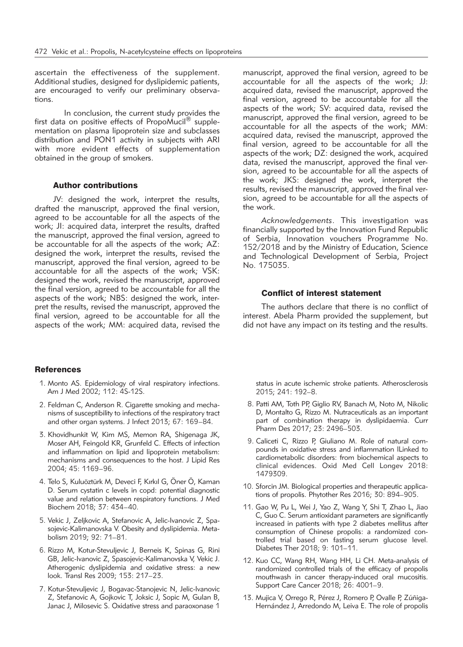ascertain the effectiveness of the supplement. Additional studies, designed for dyslipidemic patients, are encouraged to verify our preliminary observations.

In conclusion, the current study provides the first data on positive effects of PropoMucil $^{\circledR}$  supplementation on plasma lipoprotein size and subclasses distribution and PON1 activity in subjects with ARI with more evident effects of supplementation obtained in the group of smokers.

#### Author contributions

JV: designed the work, interpret the results, drafted the manuscript, approved the final version, agreed to be accountable for all the aspects of the work; JI: acquired data, interpret the results, drafted the manuscript, approved the final version, agreed to be accountable for all the aspects of the work; AZ: designed the work, interpret the results, revised the manuscript, approved the final version, agreed to be accountable for all the aspects of the work; VSK: designed the work, revised the manuscript, approved the final version, agreed to be accountable for all the aspects of the work; NBS: designed the work, interpret the results, revised the manuscript, approved the final version, agreed to be accountable for all the aspects of the work; MM: acquired data, revised the

## **References**

- 1. Monto AS. Epidemiology of viral respiratory infections. Am J Med 2002; 112: 4S-12S.
- 2. Feldman C, Anderson R. Cigarette smoking and mechanisms of susceptibility to infections of the respiratory tract and other organ systems. J Infect 2013; 67: 169–84.
- 3. Khovidhunkit W, Kim MS, Memon RA, Shigenaga JK, Moser AH, Feingold KR, Grunfeld C. Effects of infection and inflammation on lipid and lipoprotein metabolism: mechanisms and consequences to the host. J Lipid Res 2004; 45: 1169–96.
- 4. Telo S, Kuluöztürk M, Deveci F, Kırkıl G, Öner Ö, Kaman D. Serum cystatin c levels in copd: potential diagnostic value and relation between respiratory functions. J Med Biochem 2018; 37: 434–40.
- 5. Vekic J, Zeljkovic A, Stefanovic A, Jelic-Ivanovic Z, Spasojevic-Kalimanovska V. Obesity and dyslipidemia. Metabolism 2019; 92: 71–81.
- 6. Rizzo M, Kotur-Stevuljevic J, Berneis K, Spinas G, Rini GB, Jelic-Ivanovic Z, Spasojevic-Kalimanovska V, Vekic J. Atherogenic dyslipidemia and oxidative stress: a new look. Transl Res 2009; 153: 217–23.
- 7. Kotur-Stevuljevic J, Bogavac-Stanojevic N, Jelic-Ivanovic Z, Stefanovic A, Gojkovic T, Joksic J, Sopic M, Gulan B, Janac J, Milosevic S. Oxidative stress and paraoxonase 1

manuscript, approved the final version, agreed to be accountable for all the aspects of the work; JJ: acquired data, revised the manuscript, approved the final version, agreed to be accountable for all the aspects of the work; SV: acquired data, revised the manuscript, approved the final version, agreed to be accountable for all the aspects of the work; MM: acquired data, revised the manuscript, approved the final version, agreed to be accountable for all the aspects of the work; DZ: designed the work, acquired data, revised the manuscript, approved the final version, agreed to be accountable for all the aspects of the work; JKS: designed the work, interpret the results, revised the manuscript, approved the final version, agreed to be accountable for all the aspects of the work.

*Acknowledgements*. This investigation was financially supported by the Innovation Fund Republic of Serbia, Innovation vouchers Programme No. 152/2018 and by the Ministry of Education, Science and Technological Development of Serbia, Project No. 175035.

### Conflict of interest statement

The authors declare that there is no conflict of interest. Abela Pharm provided the supplement, but did not have any impact on its testing and the results.

status in acute ischemic stroke patients. Atherosclerosis 2015; 241: 192–8.

- 8. Patti AM, Toth PP, Giglio RV, Banach M, Noto M, Nikolic D, Montalto G, Rizzo M. Nutraceuticals as an important part of combination therapy in dyslipidaemia. Curr Pharm Des 2017; 23: 2496–503.
- 9. Caliceti C, Rizzo P, Giuliano M. Role of natural compounds in oxidative stress and inflammation lLinked to cardiometabolic disorders: from biochemical aspects to clinical evidences. Oxid Med Cell Longev 2018: 1479309.
- 10. Sforcin JM. Biological properties and therapeutic applications of propolis. Phytother Res 2016; 30: 894–905.
- 11. Gao W, Pu L, Wei J, Yao Z, Wang Y, Shi T, Zhao L, Jiao C, Guo C. Serum antioxidant parameters are significantly increased in patients with type 2 diabetes mellitus after consumption of Chinese propolis: a randomized controlled trial based on fasting serum glucose level. Diabetes Ther 2018; 9: 101–11.
- 12. Kuo CC, Wang RH, Wang HH, Li CH. Meta-analysis of randomized controlled trials of the efficacy of propolis mouthwash in cancer therapy-induced oral mucositis. Support Care Cancer 2018; 26: 4001–9.
- 13. Mujica V, Orrego R, Pérez J, Romero P, Ovalle P, Zúñiga-Hernández J, Arredondo M, Leiva E. The role of propolis